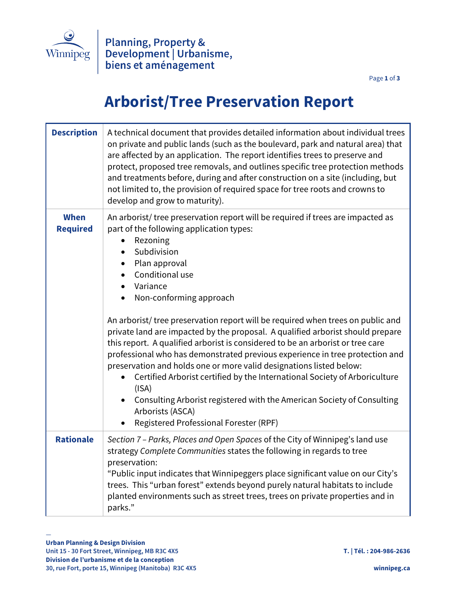

Page **1** of **3**

## **Arborist/Tree Preservation Report**

| <b>Description</b>      | A technical document that provides detailed information about individual trees<br>on private and public lands (such as the boulevard, park and natural area) that<br>are affected by an application. The report identifies trees to preserve and<br>protect, proposed tree removals, and outlines specific tree protection methods<br>and treatments before, during and after construction on a site (including, but<br>not limited to, the provision of required space for tree roots and crowns to<br>develop and grow to maturity).                                                                                                                                                                                                                                                                                                                                                    |
|-------------------------|-------------------------------------------------------------------------------------------------------------------------------------------------------------------------------------------------------------------------------------------------------------------------------------------------------------------------------------------------------------------------------------------------------------------------------------------------------------------------------------------------------------------------------------------------------------------------------------------------------------------------------------------------------------------------------------------------------------------------------------------------------------------------------------------------------------------------------------------------------------------------------------------|
| When<br><b>Required</b> | An arborist/tree preservation report will be required if trees are impacted as<br>part of the following application types:<br>Rezoning<br>Subdivision<br>Plan approval<br>$\bullet$<br>Conditional use<br>Variance<br>Non-conforming approach<br>An arborist/tree preservation report will be required when trees on public and<br>private land are impacted by the proposal. A qualified arborist should prepare<br>this report. A qualified arborist is considered to be an arborist or tree care<br>professional who has demonstrated previous experience in tree protection and<br>preservation and holds one or more valid designations listed below:<br>Certified Arborist certified by the International Society of Arboriculture<br>(ISA)<br>Consulting Arborist registered with the American Society of Consulting<br>Arborists (ASCA)<br>Registered Professional Forester (RPF) |
| <b>Rationale</b>        | Section 7 - Parks, Places and Open Spaces of the City of Winnipeg's land use<br>strategy Complete Communities states the following in regards to tree<br>preservation:<br>"Public input indicates that Winnipeggers place significant value on our City's<br>trees. This "urban forest" extends beyond purely natural habitats to include<br>planted environments such as street trees, trees on private properties and in<br>parks."                                                                                                                                                                                                                                                                                                                                                                                                                                                     |

—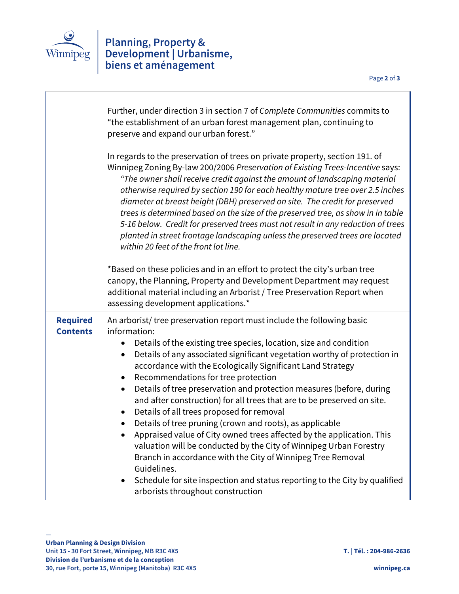

## Planning, Property &<br>Development | Urbanisme,<br>biens et aménagement

|                                    | Further, under direction 3 in section 7 of Complete Communities commits to<br>"the establishment of an urban forest management plan, continuing to<br>preserve and expand our urban forest."<br>In regards to the preservation of trees on private property, section 191. of<br>Winnipeg Zoning By-law 200/2006 Preservation of Existing Trees-Incentive says:<br>"The owner shall receive credit against the amount of landscaping material<br>otherwise required by section 190 for each healthy mature tree over 2.5 inches<br>diameter at breast height (DBH) preserved on site. The credit for preserved<br>trees is determined based on the size of the preserved tree, as show in in table<br>5-16 below. Credit for preserved trees must not result in any reduction of trees<br>planted in street frontage landscaping unless the preserved trees are located<br>within 20 feet of the front lot line.                                                                                   |
|------------------------------------|---------------------------------------------------------------------------------------------------------------------------------------------------------------------------------------------------------------------------------------------------------------------------------------------------------------------------------------------------------------------------------------------------------------------------------------------------------------------------------------------------------------------------------------------------------------------------------------------------------------------------------------------------------------------------------------------------------------------------------------------------------------------------------------------------------------------------------------------------------------------------------------------------------------------------------------------------------------------------------------------------|
|                                    | *Based on these policies and in an effort to protect the city's urban tree<br>canopy, the Planning, Property and Development Department may request<br>additional material including an Arborist / Tree Preservation Report when<br>assessing development applications.*                                                                                                                                                                                                                                                                                                                                                                                                                                                                                                                                                                                                                                                                                                                          |
| <b>Required</b><br><b>Contents</b> | An arborist/tree preservation report must include the following basic<br>information:<br>Details of the existing tree species, location, size and condition<br>$\bullet$<br>Details of any associated significant vegetation worthy of protection in<br>$\bullet$<br>accordance with the Ecologically Significant Land Strategy<br>Recommendations for tree protection<br>Details of tree preservation and protection measures (before, during<br>$\bullet$<br>and after construction) for all trees that are to be preserved on site.<br>Details of all trees proposed for removal<br>$\bullet$<br>Details of tree pruning (crown and roots), as applicable<br>$\bullet$<br>Appraised value of City owned trees affected by the application. This<br>valuation will be conducted by the City of Winnipeg Urban Forestry<br>Branch in accordance with the City of Winnipeg Tree Removal<br>Guidelines.<br>Schedule for site inspection and status reporting to the City by qualified<br>$\bullet$ |
|                                    | arborists throughout construction                                                                                                                                                                                                                                                                                                                                                                                                                                                                                                                                                                                                                                                                                                                                                                                                                                                                                                                                                                 |

—